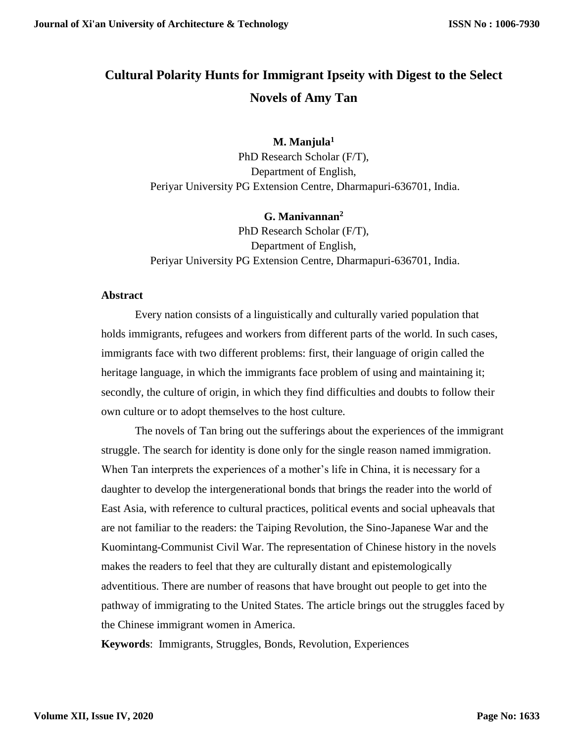# **Cultural Polarity Hunts for Immigrant Ipseity with Digest to the Select Novels of Amy Tan**

**M. Manjula<sup>1</sup>** PhD Research Scholar (F/T), Department of English, Periyar University PG Extension Centre, Dharmapuri-636701, India.

## **G. Manivannan<sup>2</sup>**

PhD Research Scholar (F/T), Department of English, Periyar University PG Extension Centre, Dharmapuri-636701, India.

#### **Abstract**

Every nation consists of a linguistically and culturally varied population that holds immigrants, refugees and workers from different parts of the world. In such cases, immigrants face with two different problems: first, their language of origin called the heritage language, in which the immigrants face problem of using and maintaining it; secondly, the culture of origin, in which they find difficulties and doubts to follow their own culture or to adopt themselves to the host culture.

The novels of Tan bring out the sufferings about the experiences of the immigrant struggle. The search for identity is done only for the single reason named immigration. When Tan interprets the experiences of a mother's life in China, it is necessary for a daughter to develop the intergenerational bonds that brings the reader into the world of East Asia, with reference to cultural practices, political events and social upheavals that are not familiar to the readers: the Taiping Revolution, the Sino-Japanese War and the Kuomintang-Communist Civil War. The representation of Chinese history in the novels makes the readers to feel that they are culturally distant and epistemologically adventitious. There are number of reasons that have brought out people to get into the pathway of immigrating to the United States. The article brings out the struggles faced by the Chinese immigrant women in America.

**Keywords**: Immigrants, Struggles, Bonds, Revolution, Experiences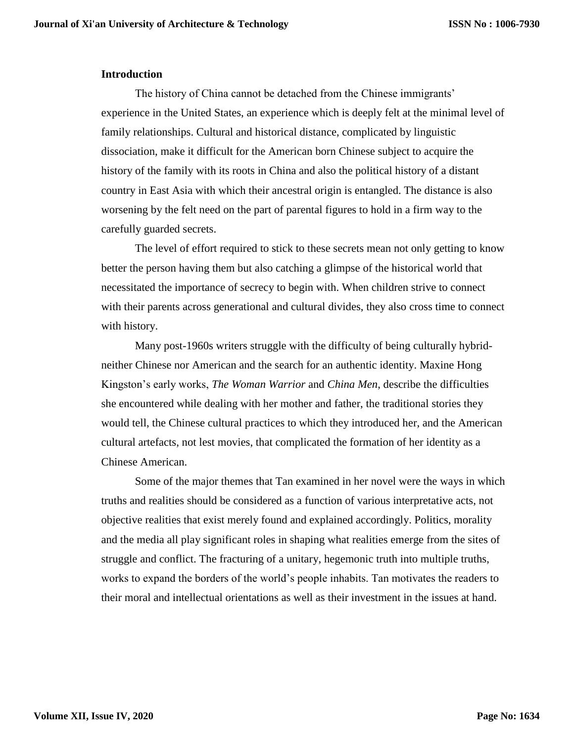#### **Introduction**

The history of China cannot be detached from the Chinese immigrants' experience in the United States, an experience which is deeply felt at the minimal level of family relationships. Cultural and historical distance, complicated by linguistic dissociation, make it difficult for the American born Chinese subject to acquire the history of the family with its roots in China and also the political history of a distant country in East Asia with which their ancestral origin is entangled. The distance is also worsening by the felt need on the part of parental figures to hold in a firm way to the carefully guarded secrets.

The level of effort required to stick to these secrets mean not only getting to know better the person having them but also catching a glimpse of the historical world that necessitated the importance of secrecy to begin with. When children strive to connect with their parents across generational and cultural divides, they also cross time to connect with history.

Many post-1960s writers struggle with the difficulty of being culturally hybridneither Chinese nor American and the search for an authentic identity. Maxine Hong Kingston's early works, *The Woman Warrior* and *China Men*, describe the difficulties she encountered while dealing with her mother and father, the traditional stories they would tell, the Chinese cultural practices to which they introduced her, and the American cultural artefacts, not lest movies, that complicated the formation of her identity as a Chinese American.

Some of the major themes that Tan examined in her novel were the ways in which truths and realities should be considered as a function of various interpretative acts, not objective realities that exist merely found and explained accordingly. Politics, morality and the media all play significant roles in shaping what realities emerge from the sites of struggle and conflict. The fracturing of a unitary, hegemonic truth into multiple truths, works to expand the borders of the world's people inhabits. Tan motivates the readers to their moral and intellectual orientations as well as their investment in the issues at hand.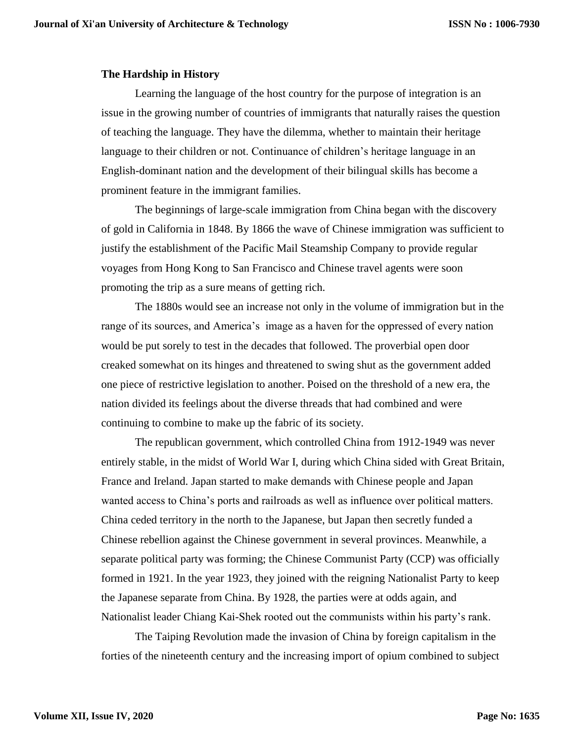#### **The Hardship in History**

Learning the language of the host country for the purpose of integration is an issue in the growing number of countries of immigrants that naturally raises the question of teaching the language. They have the dilemma, whether to maintain their heritage language to their children or not. Continuance of children's heritage language in an English-dominant nation and the development of their bilingual skills has become a prominent feature in the immigrant families.

The beginnings of large-scale immigration from China began with the discovery of gold in California in 1848. By 1866 the wave of Chinese immigration was sufficient to justify the establishment of the Pacific Mail Steamship Company to provide regular voyages from Hong Kong to San Francisco and Chinese travel agents were soon promoting the trip as a sure means of getting rich.

The 1880s would see an increase not only in the volume of immigration but in the range of its sources, and America's image as a haven for the oppressed of every nation would be put sorely to test in the decades that followed. The proverbial open door creaked somewhat on its hinges and threatened to swing shut as the government added one piece of restrictive legislation to another. Poised on the threshold of a new era, the nation divided its feelings about the diverse threads that had combined and were continuing to combine to make up the fabric of its society.

The republican government, which controlled China from 1912-1949 was never entirely stable, in the midst of World War I, during which China sided with Great Britain, France and Ireland. Japan started to make demands with Chinese people and Japan wanted access to China's ports and railroads as well as influence over political matters. China ceded territory in the north to the Japanese, but Japan then secretly funded a Chinese rebellion against the Chinese government in several provinces. Meanwhile, a separate political party was forming; the Chinese Communist Party (CCP) was officially formed in 1921. In the year 1923, they joined with the reigning Nationalist Party to keep the Japanese separate from China. By 1928, the parties were at odds again, and Nationalist leader Chiang Kai-Shek rooted out the communists within his party's rank.

The Taiping Revolution made the invasion of China by foreign capitalism in the forties of the nineteenth century and the increasing import of opium combined to subject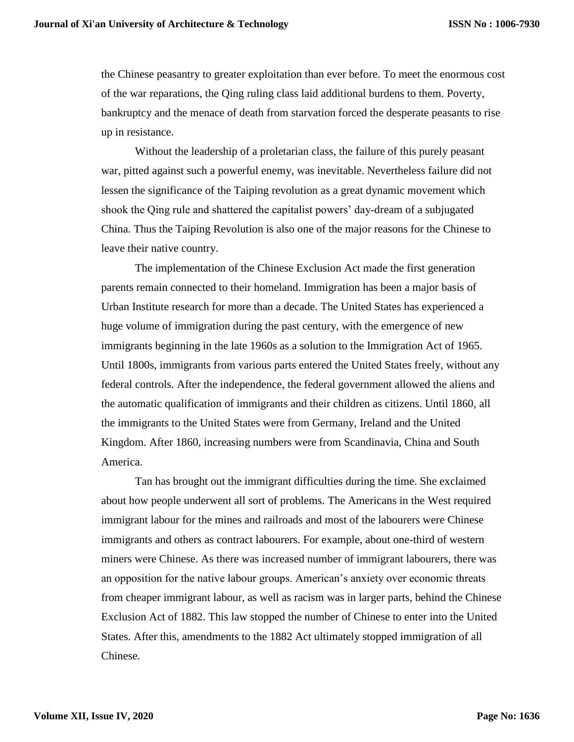the Chinese peasantry to greater exploitation than ever before. To meet the enormous cost of the war reparations, the Qing ruling class laid additional burdens to them. Poverty, bankruptcy and the menace of death from starvation forced the desperate peasants to rise up in resistance.

Without the leadership of a proletarian class, the failure of this purely peasant war, pitted against such a powerful enemy, was inevitable. Nevertheless failure did not lessen the significance of the Taiping revolution as a great dynamic movement which shook the Qing rule and shattered the capitalist powers' day-dream of a subjugated China. Thus the Taiping Revolution is also one of the major reasons for the Chinese to leave their native country.

The implementation of the Chinese Exclusion Act made the first generation parents remain connected to their homeland. Immigration has been a major basis of Urban Institute research for more than a decade. The United States has experienced a huge volume of immigration during the past century, with the emergence of new immigrants beginning in the late 1960s as a solution to the Immigration Act of 1965. Until 1800s, immigrants from various parts entered the United States freely, without any federal controls. After the independence, the federal government allowed the aliens and the automatic qualification of immigrants and their children as citizens. Until 1860, all the immigrants to the United States were from Germany, Ireland and the United Kingdom. After 1860, increasing numbers were from Scandinavia, China and South America.

Tan has brought out the immigrant difficulties during the time. She exclaimed about how people underwent all sort of problems. The Americans in the West required immigrant labour for the mines and railroads and most of the labourers were Chinese immigrants and others as contract labourers. For example, about one-third of western miners were Chinese. As there was increased number of immigrant labourers, there was an opposition for the native labour groups. American's anxiety over economic threats from cheaper immigrant labour, as well as racism was in larger parts, behind the Chinese Exclusion Act of 1882. This law stopped the number of Chinese to enter into the United States. After this, amendments to the 1882 Act ultimately stopped immigration of all Chinese.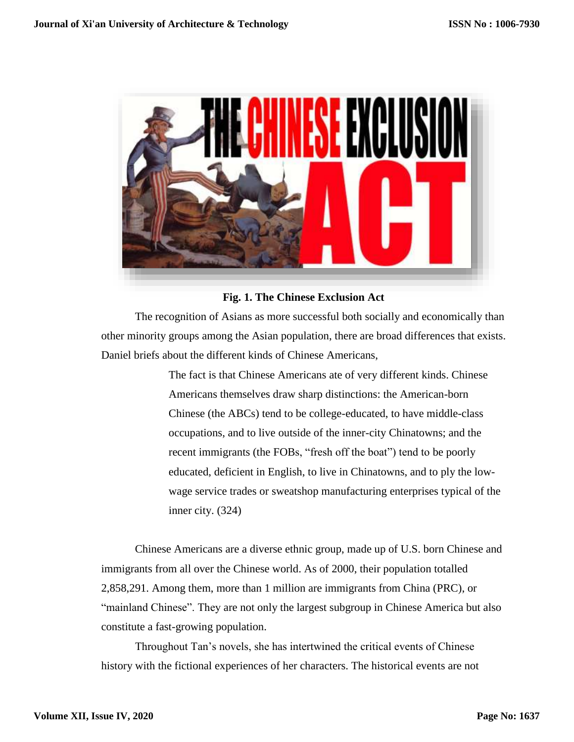

## **Fig. 1. The Chinese Exclusion Act**

The recognition of Asians as more successful both socially and economically than other minority groups among the Asian population, there are broad differences that exists. Daniel briefs about the different kinds of Chinese Americans,

> The fact is that Chinese Americans ate of very different kinds. Chinese Americans themselves draw sharp distinctions: the American-born Chinese (the ABCs) tend to be college-educated, to have middle-class occupations, and to live outside of the inner-city Chinatowns; and the recent immigrants (the FOBs, "fresh off the boat") tend to be poorly educated, deficient in English, to live in Chinatowns, and to ply the lowwage service trades or sweatshop manufacturing enterprises typical of the inner city. (324)

Chinese Americans are a diverse ethnic group, made up of U.S. born Chinese and immigrants from all over the Chinese world. As of 2000, their population totalled 2,858,291. Among them, more than 1 million are immigrants from China (PRC), or "mainland Chinese". They are not only the largest subgroup in Chinese America but also constitute a fast-growing population.

Throughout Tan's novels, she has intertwined the critical events of Chinese history with the fictional experiences of her characters. The historical events are not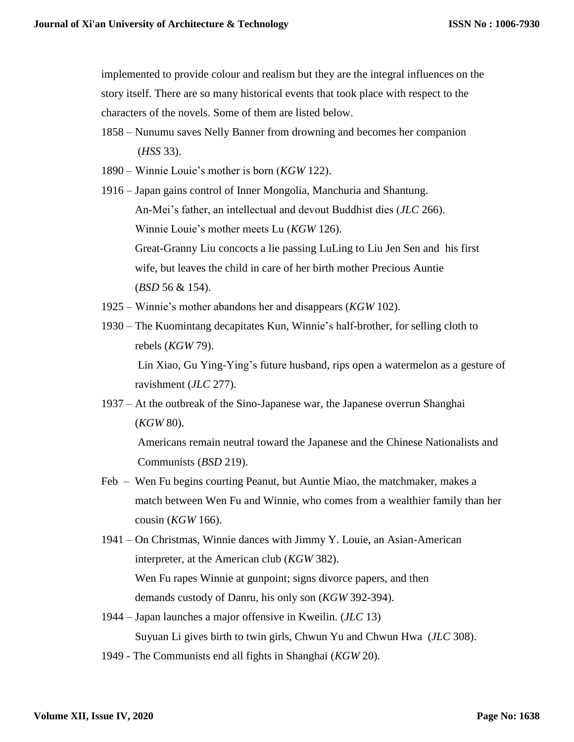implemented to provide colour and realism but they are the integral influences on the story itself. There are so many historical events that took place with respect to the characters of the novels. Some of them are listed below.

- 1858 Nunumu saves Nelly Banner from drowning and becomes her companion (*HSS* 33).
- 1890 Winnie Louie's mother is born (*KGW* 122).
- 1916 Japan gains control of Inner Mongolia, Manchuria and Shantung. An-Mei's father, an intellectual and devout Buddhist dies (*JLC* 266). Winnie Louie's mother meets Lu (*KGW* 126). Great-Granny Liu concocts a lie passing LuLing to Liu Jen Sen and his first wife, but leaves the child in care of her birth mother Precious Auntie (*BSD* 56 & 154).
- 1925 Winnie's mother abandons her and disappears (*KGW* 102).
- 1930 The Kuomintang decapitates Kun, Winnie's half-brother, for selling cloth to rebels (*KGW* 79).

Lin Xiao, Gu Ying-Ying's future husband, rips open a watermelon as a gesture of ravishment (*JLC* 277).

1937 – At the outbreak of the Sino-Japanese war, the Japanese overrun Shanghai (*KGW* 80).

Americans remain neutral toward the Japanese and the Chinese Nationalists and Communists (*BSD* 219).

- Feb Wen Fu begins courting Peanut, but Auntie Miao, the matchmaker, makes a match between Wen Fu and Winnie, who comes from a wealthier family than her cousin (*KGW* 166).
- 1941 On Christmas, Winnie dances with Jimmy Y. Louie, an Asian-American interpreter, at the American club (*KGW* 382). Wen Fu rapes Winnie at gunpoint; signs divorce papers, and then demands custody of Danru, his only son (*KGW* 392-394).
- 1944 Japan launches a major offensive in Kweilin. (*JLC* 13) Suyuan Li gives birth to twin girls, Chwun Yu and Chwun Hwa (*JLC* 308).
- 1949 The Communists end all fights in Shanghai (*KGW* 20).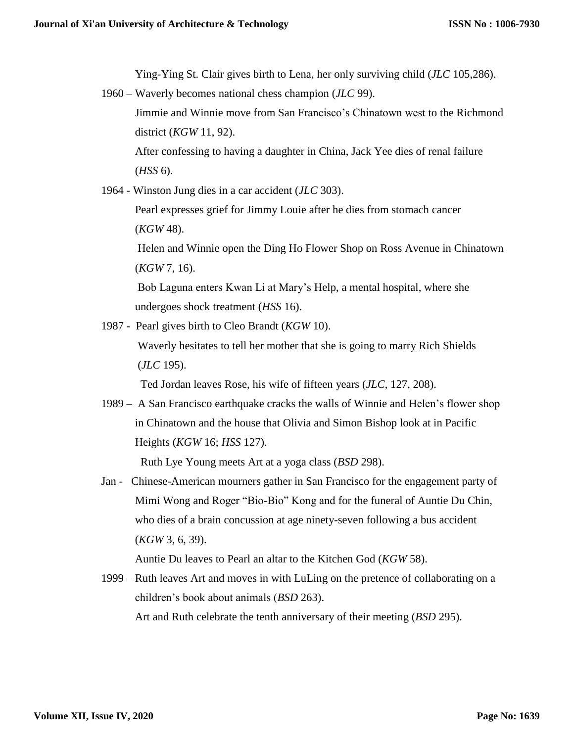Ying-Ying St. Clair gives birth to Lena, her only surviving child (*JLC* 105,286).

1960 – Waverly becomes national chess champion (*JLC* 99).

Jimmie and Winnie move from San Francisco's Chinatown west to the Richmond district (*KGW* 11, 92).

After confessing to having a daughter in China, Jack Yee dies of renal failure (*HSS* 6).

1964 - Winston Jung dies in a car accident (*JLC* 303).

Pearl expresses grief for Jimmy Louie after he dies from stomach cancer (*KGW* 48).

Helen and Winnie open the Ding Ho Flower Shop on Ross Avenue in Chinatown (*KGW* 7, 16).

Bob Laguna enters Kwan Li at Mary's Help, a mental hospital, where she undergoes shock treatment (*HSS* 16).

1987 - Pearl gives birth to Cleo Brandt (*KGW* 10).

Waverly hesitates to tell her mother that she is going to marry Rich Shields (*JLC* 195).

Ted Jordan leaves Rose, his wife of fifteen years (*JLC*, 127, 208).

1989 – A San Francisco earthquake cracks the walls of Winnie and Helen's flower shop in Chinatown and the house that Olivia and Simon Bishop look at in Pacific Heights (*KGW* 16; *HSS* 127).

Ruth Lye Young meets Art at a yoga class (*BSD* 298).

Jan - Chinese-American mourners gather in San Francisco for the engagement party of Mimi Wong and Roger "Bio-Bio" Kong and for the funeral of Auntie Du Chin, who dies of a brain concussion at age ninety-seven following a bus accident (*KGW* 3, 6, 39).

Auntie Du leaves to Pearl an altar to the Kitchen God (*KGW* 58).

1999 – Ruth leaves Art and moves in with LuLing on the pretence of collaborating on a children's book about animals (*BSD* 263). Art and Ruth celebrate the tenth anniversary of their meeting (*BSD* 295).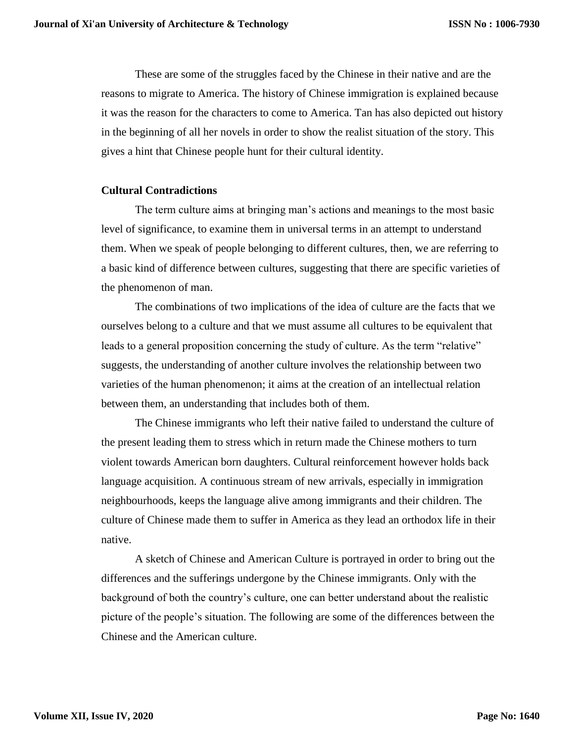These are some of the struggles faced by the Chinese in their native and are the reasons to migrate to America. The history of Chinese immigration is explained because it was the reason for the characters to come to America. Tan has also depicted out history in the beginning of all her novels in order to show the realist situation of the story. This gives a hint that Chinese people hunt for their cultural identity.

#### **Cultural Contradictions**

The term culture aims at bringing man's actions and meanings to the most basic level of significance, to examine them in universal terms in an attempt to understand them. When we speak of people belonging to different cultures, then, we are referring to a basic kind of difference between cultures, suggesting that there are specific varieties of the phenomenon of man.

The combinations of two implications of the idea of culture are the facts that we ourselves belong to a culture and that we must assume all cultures to be equivalent that leads to a general proposition concerning the study of culture. As the term "relative" suggests, the understanding of another culture involves the relationship between two varieties of the human phenomenon; it aims at the creation of an intellectual relation between them, an understanding that includes both of them.

The Chinese immigrants who left their native failed to understand the culture of the present leading them to stress which in return made the Chinese mothers to turn violent towards American born daughters. Cultural reinforcement however holds back language acquisition. A continuous stream of new arrivals, especially in immigration neighbourhoods, keeps the language alive among immigrants and their children. The culture of Chinese made them to suffer in America as they lead an orthodox life in their native.

A sketch of Chinese and American Culture is portrayed in order to bring out the differences and the sufferings undergone by the Chinese immigrants. Only with the background of both the country's culture, one can better understand about the realistic picture of the people's situation. The following are some of the differences between the Chinese and the American culture.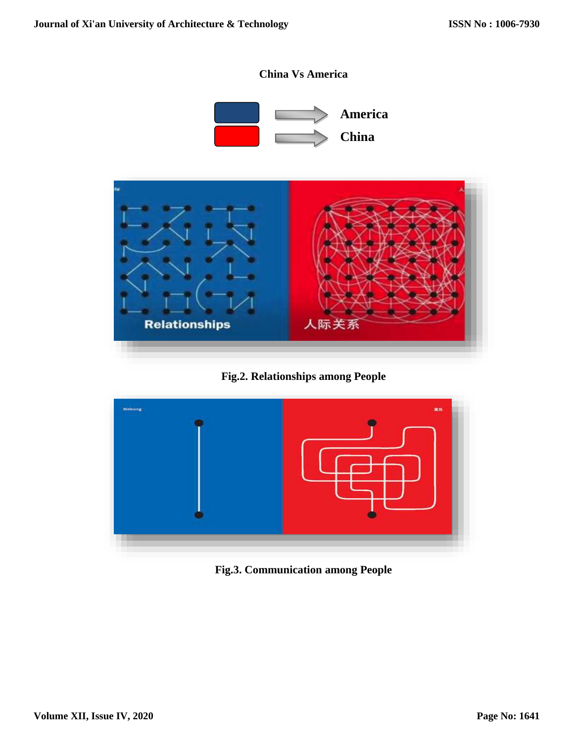

**Fig.2. Relationships among People**



**Fig.3. Communication among People**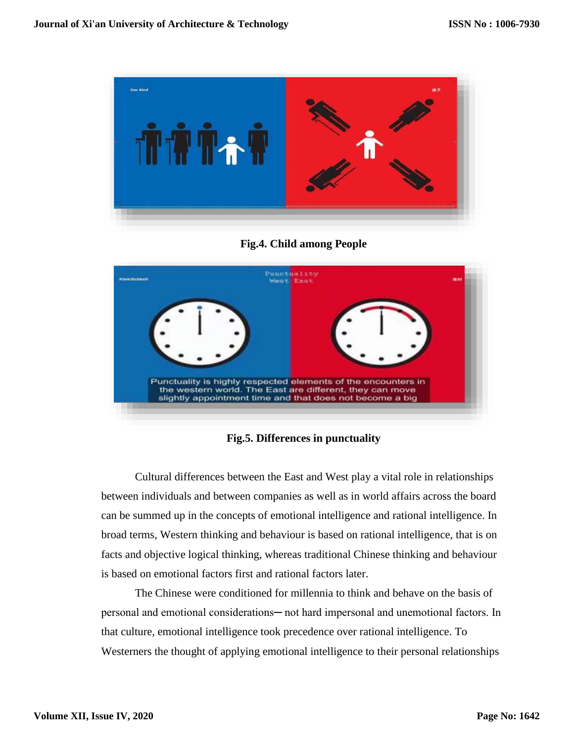

**Fig.4. Child among People**



**Fig.5. Differences in punctuality**

Cultural differences between the East and West play a vital role in relationships between individuals and between companies as well as in world affairs across the board can be summed up in the concepts of emotional intelligence and rational intelligence. In broad terms, Western thinking and behaviour is based on rational intelligence, that is on facts and objective logical thinking, whereas traditional Chinese thinking and behaviour is based on emotional factors first and rational factors later.

The Chinese were conditioned for millennia to think and behave on the basis of personal and emotional considerations- not hard impersonal and unemotional factors. In that culture, emotional intelligence took precedence over rational intelligence. To Westerners the thought of applying emotional intelligence to their personal relationships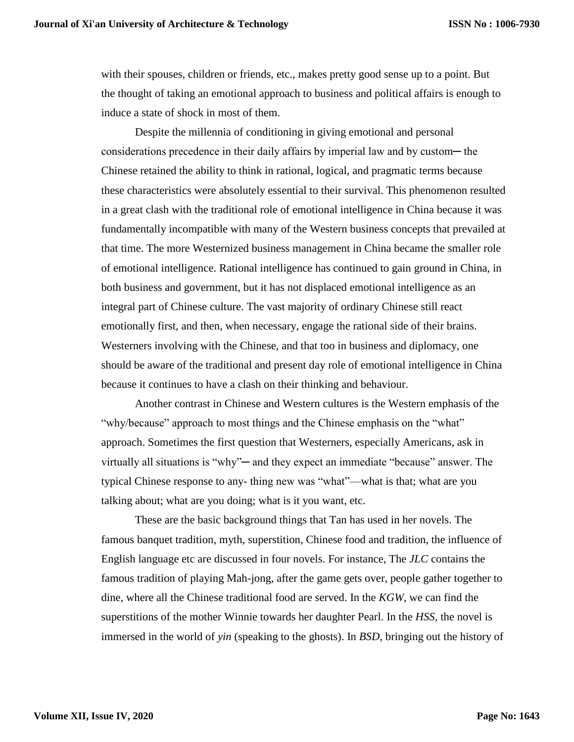with their spouses, children or friends, etc., makes pretty good sense up to a point. But the thought of taking an emotional approach to business and political affairs is enough to induce a state of shock in most of them.

Despite the millennia of conditioning in giving emotional and personal considerations precedence in their daily affairs by imperial law and by custom— the Chinese retained the ability to think in rational, logical, and pragmatic terms because these characteristics were absolutely essential to their survival. This phenomenon resulted in a great clash with the traditional role of emotional intelligence in China because it was fundamentally incompatible with many of the Western business concepts that prevailed at that time. The more Westernized business management in China became the smaller role of emotional intelligence. Rational intelligence has continued to gain ground in China, in both business and government, but it has not displaced emotional intelligence as an integral part of Chinese culture. The vast majority of ordinary Chinese still react emotionally first, and then, when necessary, engage the rational side of their brains. Westerners involving with the Chinese, and that too in business and diplomacy, one should be aware of the traditional and present day role of emotional intelligence in China because it continues to have a clash on their thinking and behaviour.

Another contrast in Chinese and Western cultures is the Western emphasis of the "why/because" approach to most things and the Chinese emphasis on the "what" approach. Sometimes the first question that Westerners, especially Americans, ask in virtually all situations is "why"— and they expect an immediate "because" answer. The typical Chinese response to any- thing new was "what"—what is that; what are you talking about; what are you doing; what is it you want, etc.

These are the basic background things that Tan has used in her novels. The famous banquet tradition, myth, superstition, Chinese food and tradition, the influence of English language etc are discussed in four novels. For instance, The *JLC* contains the famous tradition of playing Mah-jong, after the game gets over, people gather together to dine, where all the Chinese traditional food are served. In the *KGW*, we can find the superstitions of the mother Winnie towards her daughter Pearl. In the *HSS,* the novel is immersed in the world of *yin* (speaking to the ghosts). In *BSD*, bringing out the history of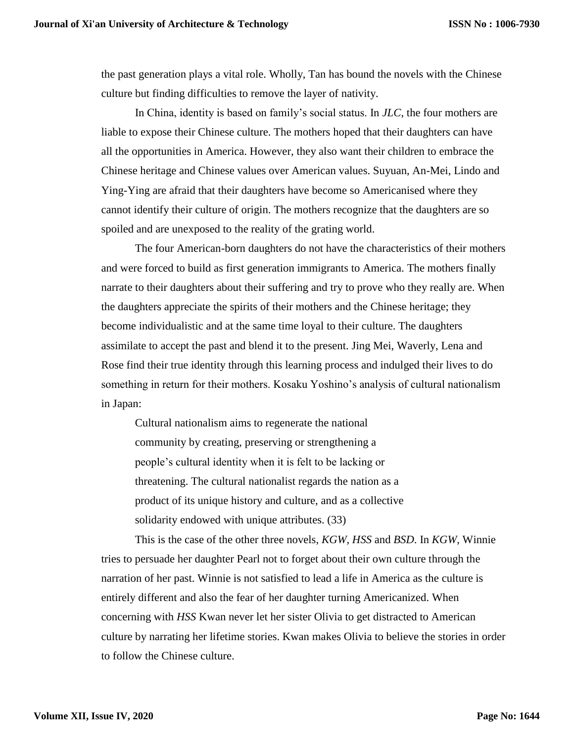the past generation plays a vital role. Wholly, Tan has bound the novels with the Chinese culture but finding difficulties to remove the layer of nativity.

In China, identity is based on family's social status. In *JLC*, the four mothers are liable to expose their Chinese culture. The mothers hoped that their daughters can have all the opportunities in America. However, they also want their children to embrace the Chinese heritage and Chinese values over American values. Suyuan, An-Mei, Lindo and Ying-Ying are afraid that their daughters have become so Americanised where they cannot identify their culture of origin. The mothers recognize that the daughters are so spoiled and are unexposed to the reality of the grating world.

The four American-born daughters do not have the characteristics of their mothers and were forced to build as first generation immigrants to America. The mothers finally narrate to their daughters about their suffering and try to prove who they really are. When the daughters appreciate the spirits of their mothers and the Chinese heritage; they become individualistic and at the same time loyal to their culture. The daughters assimilate to accept the past and blend it to the present. Jing Mei, Waverly, Lena and Rose find their true identity through this learning process and indulged their lives to do something in return for their mothers. Kosaku Yoshino's analysis of cultural nationalism in Japan:

Cultural nationalism aims to regenerate the national community by creating, preserving or strengthening a people's cultural identity when it is felt to be lacking or threatening. The cultural nationalist regards the nation as a product of its unique history and culture, and as a collective solidarity endowed with unique attributes. (33)

This is the case of the other three novels, *KGW*, *HSS* and *BSD*. In *KGW*, Winnie tries to persuade her daughter Pearl not to forget about their own culture through the narration of her past. Winnie is not satisfied to lead a life in America as the culture is entirely different and also the fear of her daughter turning Americanized. When concerning with *HSS* Kwan never let her sister Olivia to get distracted to American culture by narrating her lifetime stories. Kwan makes Olivia to believe the stories in order to follow the Chinese culture.